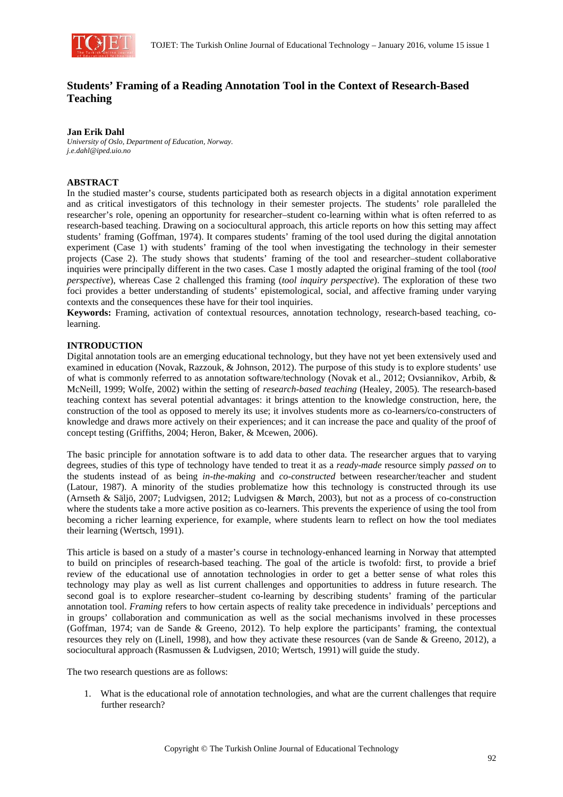

# **Students' Framing of a Reading Annotation Tool in the Context of Research-Based Teaching**

#### **Jan Erik Dahl**

*University of Oslo, Department of Education, Norway. j.e.dahl@iped.uio.no* 

# **ABSTRACT**

In the studied master's course, students participated both as research objects in a digital annotation experiment and as critical investigators of this technology in their semester projects. The students' role paralleled the researcher's role, opening an opportunity for researcher–student co-learning within what is often referred to as research-based teaching. Drawing on a sociocultural approach, this article reports on how this setting may affect students' framing (Goffman, 1974). It compares students' framing of the tool used during the digital annotation experiment (Case 1) with students' framing of the tool when investigating the technology in their semester projects (Case 2). The study shows that students' framing of the tool and researcher–student collaborative inquiries were principally different in the two cases. Case 1 mostly adapted the original framing of the tool (*tool perspective*), whereas Case 2 challenged this framing (*tool inquiry perspective*). The exploration of these two foci provides a better understanding of students' epistemological, social, and affective framing under varying contexts and the consequences these have for their tool inquiries.

**Keywords:** Framing, activation of contextual resources, annotation technology, research-based teaching, colearning.

# **INTRODUCTION**

Digital annotation tools are an emerging educational technology, but they have not yet been extensively used and examined in education (Novak, Razzouk, & Johnson, 2012). The purpose of this study is to explore students' use of what is commonly referred to as annotation software/technology (Novak et al., 2012; Ovsiannikov, Arbib, & McNeill, 1999; Wolfe, 2002) within the setting of *research-based teaching* (Healey, 2005). The research-based teaching context has several potential advantages: it brings attention to the knowledge construction, here, the construction of the tool as opposed to merely its use; it involves students more as co-learners/co-constructers of knowledge and draws more actively on their experiences; and it can increase the pace and quality of the proof of concept testing (Griffiths, 2004; Heron, Baker, & Mcewen, 2006).

The basic principle for annotation software is to add data to other data. The researcher argues that to varying degrees, studies of this type of technology have tended to treat it as a *ready-made* resource simply *passed on* to the students instead of as being *in-the-making* and *co-constructed* between researcher/teacher and student (Latour, 1987). A minority of the studies problematize how this technology is constructed through its use (Arnseth & Säljö, 2007; Ludvigsen, 2012; Ludvigsen & Mørch, 2003), but not as a process of co-construction where the students take a more active position as co-learners. This prevents the experience of using the tool from becoming a richer learning experience, for example, where students learn to reflect on how the tool mediates their learning (Wertsch, 1991).

This article is based on a study of a master's course in technology-enhanced learning in Norway that attempted to build on principles of research-based teaching. The goal of the article is twofold: first, to provide a brief review of the educational use of annotation technologies in order to get a better sense of what roles this technology may play as well as list current challenges and opportunities to address in future research. The second goal is to explore researcher–student co-learning by describing students' framing of the particular annotation tool. *Framing* refers to how certain aspects of reality take precedence in individuals' perceptions and in groups' collaboration and communication as well as the social mechanisms involved in these processes (Goffman, 1974; van de Sande & Greeno, 2012). To help explore the participants' framing, the contextual resources they rely on (Linell, 1998), and how they activate these resources (van de Sande & Greeno, 2012), a sociocultural approach (Rasmussen & Ludvigsen, 2010; Wertsch, 1991) will guide the study.

The two research questions are as follows:

1. What is the educational role of annotation technologies, and what are the current challenges that require further research?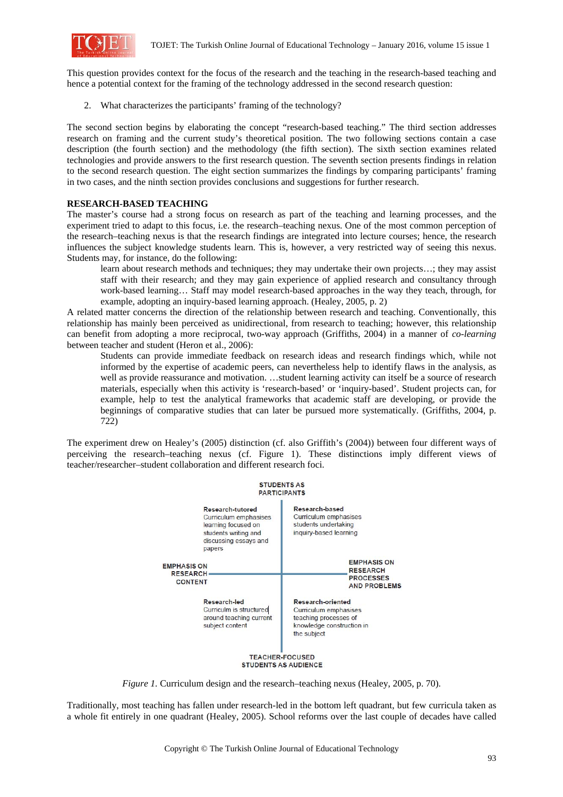

This question provides context for the focus of the research and the teaching in the research-based teaching and hence a potential context for the framing of the technology addressed in the second research question:

2. What characterizes the participants' framing of the technology?

The second section begins by elaborating the concept "research-based teaching." The third section addresses research on framing and the current study's theoretical position. The two following sections contain a case description (the fourth section) and the methodology (the fifth section). The sixth section examines related technologies and provide answers to the first research question. The seventh section presents findings in relation to the second research question. The eight section summarizes the findings by comparing participants' framing in two cases, and the ninth section provides conclusions and suggestions for further research.

# **RESEARCH-BASED TEACHING**

The master's course had a strong focus on research as part of the teaching and learning processes, and the experiment tried to adapt to this focus, i.e. the research–teaching nexus. One of the most common perception of the research–teaching nexus is that the research findings are integrated into lecture courses; hence, the research influences the subject knowledge students learn. This is, however, a very restricted way of seeing this nexus. Students may, for instance, do the following:

learn about research methods and techniques; they may undertake their own projects…; they may assist staff with their research; and they may gain experience of applied research and consultancy through work-based learning… Staff may model research-based approaches in the way they teach, through, for example, adopting an inquiry-based learning approach. (Healey, 2005, p. 2)

A related matter concerns the direction of the relationship between research and teaching. Conventionally, this relationship has mainly been perceived as unidirectional, from research to teaching; however, this relationship can benefit from adopting a more reciprocal, two-way approach (Griffiths, 2004) in a manner of *co-learning* between teacher and student (Heron et al., 2006):

Students can provide immediate feedback on research ideas and research findings which, while not informed by the expertise of academic peers, can nevertheless help to identify flaws in the analysis, as well as provide reassurance and motivation. …student learning activity can itself be a source of research materials, especially when this activity is 'research-based' or 'inquiry-based'. Student projects can, for example, help to test the analytical frameworks that academic staff are developing, or provide the beginnings of comparative studies that can later be pursued more systematically. (Griffiths, 2004, p. 722)

The experiment drew on Healey's (2005) distinction (cf. also Griffith's (2004)) between four different ways of perceiving the research–teaching nexus (cf. Figure 1). These distinctions imply different views of teacher/researcher–student collaboration and different research foci.

|                                                         | <b>STUDENTS AS</b>                                                                                                          | <b>PARTICIPANTS</b>                                                                                             |                                                                                  |
|---------------------------------------------------------|-----------------------------------------------------------------------------------------------------------------------------|-----------------------------------------------------------------------------------------------------------------|----------------------------------------------------------------------------------|
|                                                         | Research-tutored<br>Curriculum emphasises<br>learning focused on<br>students writing and<br>discussing essays and<br>papers | Research-based<br>Curriculum emphasises<br>students undertaking<br>inquiry-based learning                       |                                                                                  |
| <b>EMPHASIS ON</b><br><b>RESEARCH</b><br><b>CONTENT</b> |                                                                                                                             |                                                                                                                 | <b>EMPHASIS ON</b><br><b>RESEARCH</b><br><b>PROCESSES</b><br><b>AND PROBLEMS</b> |
|                                                         | Research-led<br>Curriculm is structured<br>around teaching current<br>subject content                                       | Research-oriented<br>Curriculum emphasises<br>teaching processes of<br>knowledge construction in<br>the subject |                                                                                  |
|                                                         | <b>STUDENTS AS AUDIENCE</b>                                                                                                 | <b>TEACHER-FOCUSED</b>                                                                                          |                                                                                  |

*Figure 1.* Curriculum design and the research–teaching nexus (Healey, 2005, p. 70).

Traditionally, most teaching has fallen under research-led in the bottom left quadrant, but few curricula taken as a whole fit entirely in one quadrant (Healey, 2005). School reforms over the last couple of decades have called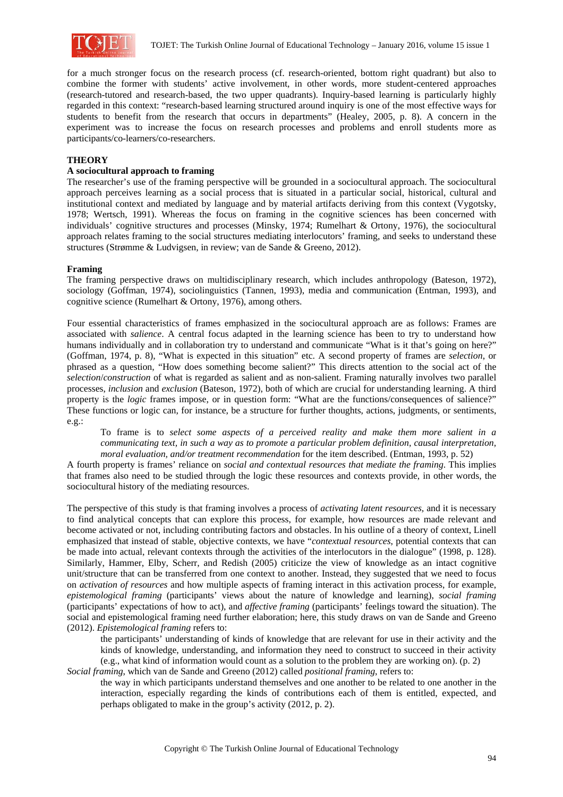

for a much stronger focus on the research process (cf. research-oriented, bottom right quadrant) but also to combine the former with students' active involvement, in other words, more student-centered approaches (research-tutored and research-based, the two upper quadrants). Inquiry-based learning is particularly highly regarded in this context: "research-based learning structured around inquiry is one of the most effective ways for students to benefit from the research that occurs in departments" (Healey, 2005, p. 8). A concern in the experiment was to increase the focus on research processes and problems and enroll students more as participants/co-learners/co-researchers.

### **THEORY**

# **A sociocultural approach to framing**

The researcher's use of the framing perspective will be grounded in a sociocultural approach. The sociocultural approach perceives learning as a social process that is situated in a particular social, historical, cultural and institutional context and mediated by language and by material artifacts deriving from this context (Vygotsky, 1978; Wertsch, 1991). Whereas the focus on framing in the cognitive sciences has been concerned with individuals' cognitive structures and processes (Minsky, 1974; Rumelhart & Ortony, 1976), the sociocultural approach relates framing to the social structures mediating interlocutors' framing, and seeks to understand these structures (Strømme & Ludvigsen, in review; van de Sande & Greeno, 2012).

### **Framing**

The framing perspective draws on multidisciplinary research, which includes anthropology (Bateson, 1972), sociology (Goffman, 1974), sociolinguistics (Tannen, 1993), media and communication (Entman, 1993), and cognitive science (Rumelhart & Ortony, 1976), among others.

Four essential characteristics of frames emphasized in the sociocultural approach are as follows: Frames are associated with *salience*. A central focus adapted in the learning science has been to try to understand how humans individually and in collaboration try to understand and communicate "What is it that's going on here?" (Goffman, 1974, p. 8), "What is expected in this situation" etc. A second property of frames are *selection*, or phrased as a question, "How does something become salient?" This directs attention to the social act of the *selection*/*construction* of what is regarded as salient and as non-salient. Framing naturally involves two parallel processes, *inclusion* and *exclusion* (Bateson, 1972), both of which are crucial for understanding learning. A third property is the *logic* frames impose, or in question form: "What are the functions/consequences of salience?" These functions or logic can, for instance, be a structure for further thoughts, actions, judgments, or sentiments, e.g.:

To frame is to *select some aspects of a perceived reality and make them more salient in a communicating text, in such a way as to promote a particular problem definition, causal interpretation, moral evaluation, and/or treatment recommendation* for the item described. (Entman, 1993, p. 52)

A fourth property is frames' reliance on *social and contextual resources that mediate the framing*. This implies that frames also need to be studied through the logic these resources and contexts provide, in other words, the sociocultural history of the mediating resources.

The perspective of this study is that framing involves a process of *activating latent resources,* and it is necessary to find analytical concepts that can explore this process, for example, how resources are made relevant and become activated or not, including contributing factors and obstacles. In his outline of a theory of context, Linell emphasized that instead of stable, objective contexts, we have "*contextual resources*, potential contexts that can be made into actual, relevant contexts through the activities of the interlocutors in the dialogue" (1998, p. 128). Similarly, Hammer, Elby, Scherr, and Redish (2005) criticize the view of knowledge as an intact cognitive unit/structure that can be transferred from one context to another. Instead, they suggested that we need to focus on *activation of resources* and how multiple aspects of framing interact in this activation process, for example, *epistemological framing* (participants' views about the nature of knowledge and learning), *social framing* (participants' expectations of how to act), and *affective framing* (participants' feelings toward the situation). The social and epistemological framing need further elaboration; here, this study draws on van de Sande and Greeno (2012). *Epistemological framing* refers to:

the participants' understanding of kinds of knowledge that are relevant for use in their activity and the kinds of knowledge, understanding, and information they need to construct to succeed in their activity (e.g., what kind of information would count as a solution to the problem they are working on). (p. 2)

*Social framing*, which van de Sande and Greeno (2012) called *positional framing*, refers to: the way in which participants understand themselves and one another to be related to one another in the interaction, especially regarding the kinds of contributions each of them is entitled, expected, and perhaps obligated to make in the group's activity (2012, p. 2).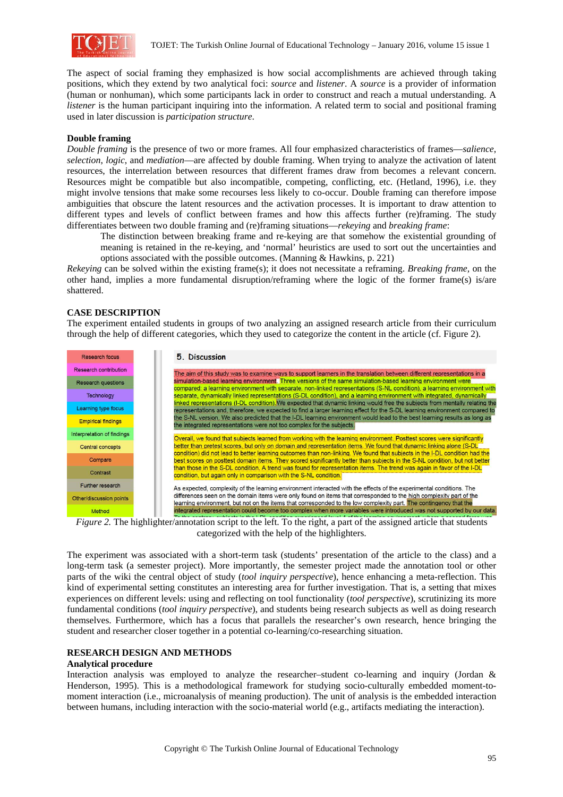

The aspect of social framing they emphasized is how social accomplishments are achieved through taking positions, which they extend by two analytical foci: *source* and *listener*. A *source* is a provider of information (human or nonhuman), which some participants lack in order to construct and reach a mutual understanding. A *listener* is the human participant inquiring into the information. A related term to social and positional framing used in later discussion is *participation structure*.

# **Double framing**

*Double framing* is the presence of two or more frames. All four emphasized characteristics of frames—*salience*, *selection*, *logic*, and *mediation*—are affected by double framing. When trying to analyze the activation of latent resources, the interrelation between resources that different frames draw from becomes a relevant concern. Resources might be compatible but also incompatible, competing, conflicting, etc. (Hetland, 1996), i.e. they might involve tensions that make some recourses less likely to co-occur. Double framing can therefore impose ambiguities that obscure the latent resources and the activation processes. It is important to draw attention to different types and levels of conflict between frames and how this affects further (re)framing. The study differentiates between two double framing and (re)framing situations—*rekeying* and *breaking frame*:

The distinction between breaking frame and re-keying are that somehow the existential grounding of meaning is retained in the re-keying, and 'normal' heuristics are used to sort out the uncertainties and options associated with the possible outcomes. (Manning & Hawkins, p. 221)

*Rekeying* can be solved within the existing frame(s); it does not necessitate a reframing. *Breaking frame,* on the other hand, implies a more fundamental disruption/reframing where the logic of the former frame(s) is/are shattered.

# **CASE DESCRIPTION**

The experiment entailed students in groups of two analyzing an assigned research article from their curriculum through the help of different categories, which they used to categorize the content in the article (cf. Figure 2).

| Research focus             | 5. Discussion                                                                                                                                                                                                                                                                                                                                                                                                                                          |
|----------------------------|--------------------------------------------------------------------------------------------------------------------------------------------------------------------------------------------------------------------------------------------------------------------------------------------------------------------------------------------------------------------------------------------------------------------------------------------------------|
| Research contribution      | The aim of this study was to examine ways to support learners in the translation between different representations in a                                                                                                                                                                                                                                                                                                                                |
| <b>Research questions</b>  | simulation-based learning environment. Three versions of the same simulation-based learning environment were                                                                                                                                                                                                                                                                                                                                           |
| Technology                 | compared: a learning environment with separate, non-linked representations (S-NL condition), a learning environment with<br>separate, dynamically linked representations (S-DL condition), and a learning environment with integrated, dynamically                                                                                                                                                                                                     |
| Learning type focus        | linked representations (I-DL condition). We expected that dynamic linking would free the subjects from mentally relating the<br>representations and, therefore, we expected to find a larger learning effect for the S-DL learning environment compared to                                                                                                                                                                                             |
| <b>Empirical findings</b>  | the S-NL version. We also predicted that the I-DL learning environment would lead to the best learning results as long as<br>the integrated representations were not too complex for the subjects.                                                                                                                                                                                                                                                     |
| Interpretation of findings | Overall, we found that subjects learned from working with the learning environment. Posttest scores were significantly                                                                                                                                                                                                                                                                                                                                 |
| Central concepts           | better than pretest scores, but only on domain and representation items. We found that dynamic linking alone (S-DL)                                                                                                                                                                                                                                                                                                                                    |
| Compare                    | condition) did not lead to better learning outcomes than non-linking. We found that subjects in the I-DL condition had the<br>best scores on posttest domain items. They scored significantly better than subjects in the S-NL condition, but not better<br>than those in the S-DL condition. A trend was found for representation items. The trend was again in favor of the I-DL<br>condition, but again only in comparison with the S-NL condition. |
| Contrast                   |                                                                                                                                                                                                                                                                                                                                                                                                                                                        |
| Further research           | As expected, complexity of the learning environment interacted with the effects of the experimental conditions. The                                                                                                                                                                                                                                                                                                                                    |
| Other/discussion points    | differences seen on the domain items were only found on items that corresponded to the high complexity part of the<br>learning environment, but not on the items that corresponded to the low complexity part. The contingency that the                                                                                                                                                                                                                |
| Method                     | integrated representation could become too complex when more variables were introduced was not supported by our data.                                                                                                                                                                                                                                                                                                                                  |

*Figure 2.* The highlighter/annotation script to the left. To the right, a part of the assigned article that students categorized with the help of the highlighters.

The experiment was associated with a short-term task (students' presentation of the article to the class) and a long-term task (a semester project). More importantly, the semester project made the annotation tool or other parts of the wiki the central object of study (*tool inquiry perspective*), hence enhancing a meta-reflection. This kind of experimental setting constitutes an interesting area for further investigation. That is, a setting that mixes experiences on different levels: using and reflecting on tool functionality (*tool perspective*), scrutinizing its more fundamental conditions (*tool inquiry perspective*), and students being research subjects as well as doing research themselves. Furthermore, which has a focus that parallels the researcher's own research, hence bringing the student and researcher closer together in a potential co-learning/co-researching situation.

# **RESEARCH DESIGN AND METHODS**

### **Analytical procedure**

Interaction analysis was employed to analyze the researcher–student co-learning and inquiry (Jordan & Henderson, 1995). This is a methodological framework for studying socio-culturally embedded moment-tomoment interaction (i.e., microanalysis of meaning production). The unit of analysis is the embedded interaction between humans, including interaction with the socio-material world (e.g., artifacts mediating the interaction).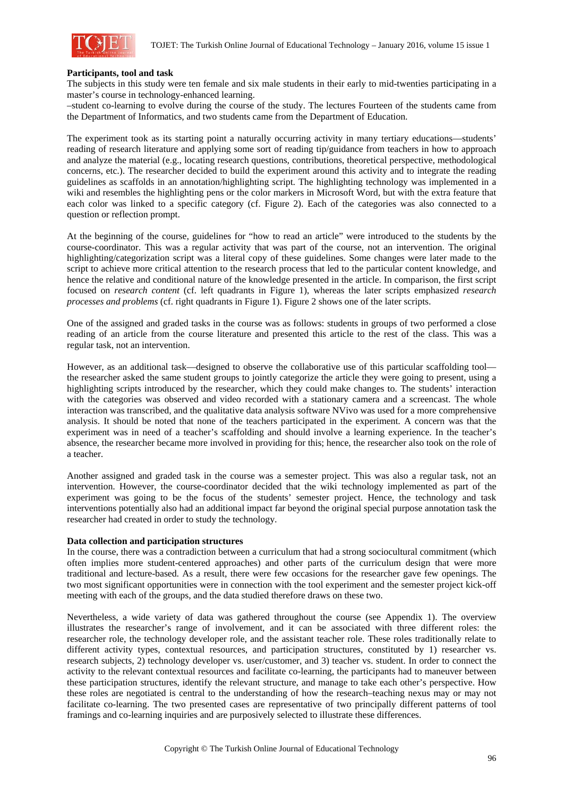

#### **Participants, tool and task**

The subjects in this study were ten female and six male students in their early to mid-twenties participating in a master's course in technology-enhanced learning.

–student co-learning to evolve during the course of the study. The lectures Fourteen of the students came from the Department of Informatics, and two students came from the Department of Education.

The experiment took as its starting point a naturally occurring activity in many tertiary educations—students' reading of research literature and applying some sort of reading tip/guidance from teachers in how to approach and analyze the material (e.g., locating research questions, contributions, theoretical perspective, methodological concerns, etc.). The researcher decided to build the experiment around this activity and to integrate the reading guidelines as scaffolds in an annotation/highlighting script. The highlighting technology was implemented in a wiki and resembles the highlighting pens or the color markers in Microsoft Word, but with the extra feature that each color was linked to a specific category (cf. Figure 2). Each of the categories was also connected to a question or reflection prompt.

At the beginning of the course, guidelines for "how to read an article" were introduced to the students by the course-coordinator. This was a regular activity that was part of the course, not an intervention. The original highlighting/categorization script was a literal copy of these guidelines. Some changes were later made to the script to achieve more critical attention to the research process that led to the particular content knowledge, and hence the relative and conditional nature of the knowledge presented in the article. In comparison, the first script focused on *research content* (cf. left quadrants in Figure 1), whereas the later scripts emphasized *research processes and problems* (cf. right quadrants in Figure 1). Figure 2 shows one of the later scripts.

One of the assigned and graded tasks in the course was as follows: students in groups of two performed a close reading of an article from the course literature and presented this article to the rest of the class. This was a regular task, not an intervention.

However, as an additional task—designed to observe the collaborative use of this particular scaffolding tool the researcher asked the same student groups to jointly categorize the article they were going to present, using a highlighting scripts introduced by the researcher, which they could make changes to. The students' interaction with the categories was observed and video recorded with a stationary camera and a screencast. The whole interaction was transcribed, and the qualitative data analysis software NVivo was used for a more comprehensive analysis. It should be noted that none of the teachers participated in the experiment. A concern was that the experiment was in need of a teacher's scaffolding and should involve a learning experience. In the teacher's absence, the researcher became more involved in providing for this; hence, the researcher also took on the role of a teacher.

Another assigned and graded task in the course was a semester project. This was also a regular task, not an intervention. However, the course-coordinator decided that the wiki technology implemented as part of the experiment was going to be the focus of the students' semester project. Hence, the technology and task interventions potentially also had an additional impact far beyond the original special purpose annotation task the researcher had created in order to study the technology.

#### **Data collection and participation structures**

In the course, there was a contradiction between a curriculum that had a strong sociocultural commitment (which often implies more student-centered approaches) and other parts of the curriculum design that were more traditional and lecture-based. As a result, there were few occasions for the researcher gave few openings. The two most significant opportunities were in connection with the tool experiment and the semester project kick-off meeting with each of the groups, and the data studied therefore draws on these two.

Nevertheless, a wide variety of data was gathered throughout the course (see Appendix 1). The overview illustrates the researcher's range of involvement, and it can be associated with three different roles: the researcher role, the technology developer role, and the assistant teacher role. These roles traditionally relate to different activity types, contextual resources, and participation structures, constituted by 1) researcher vs. research subjects, 2) technology developer vs. user/customer, and 3) teacher vs. student. In order to connect the activity to the relevant contextual resources and facilitate co-learning, the participants had to maneuver between these participation structures, identify the relevant structure, and manage to take each other's perspective. How these roles are negotiated is central to the understanding of how the research–teaching nexus may or may not facilitate co-learning. The two presented cases are representative of two principally different patterns of tool framings and co-learning inquiries and are purposively selected to illustrate these differences.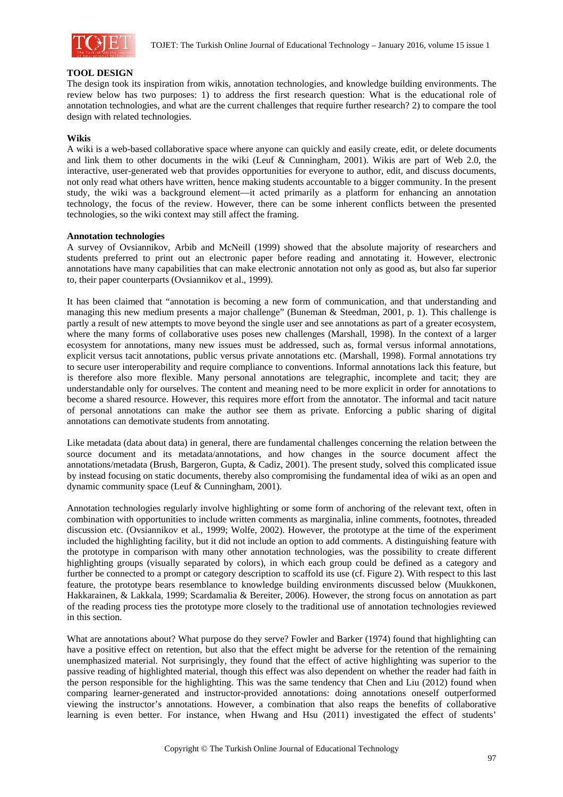

### **TOOL DESIGN**

The design took its inspiration from wikis, annotation technologies, and knowledge building environments. The review below has two purposes: 1) to address the first research question: What is the educational role of annotation technologies, and what are the current challenges that require further research? 2) to compare the tool design with related technologies.

### **Wikis**

A wiki is a web-based collaborative space where anyone can quickly and easily create, edit, or delete documents and link them to other documents in the wiki (Leuf & Cunningham, 2001). Wikis are part of Web 2.0, the interactive, user-generated web that provides opportunities for everyone to author, edit, and discuss documents, not only read what others have written, hence making students accountable to a bigger community. In the present study, the wiki was a background element—it acted primarily as a platform for enhancing an annotation technology, the focus of the review. However, there can be some inherent conflicts between the presented technologies, so the wiki context may still affect the framing.

#### **Annotation technologies**

A survey of Ovsiannikov, Arbib and McNeill (1999) showed that the absolute majority of researchers and students preferred to print out an electronic paper before reading and annotating it. However, electronic annotations have many capabilities that can make electronic annotation not only as good as, but also far superior to, their paper counterparts (Ovsiannikov et al., 1999).

It has been claimed that "annotation is becoming a new form of communication, and that understanding and managing this new medium presents a major challenge" (Buneman & Steedman, 2001, p. 1). This challenge is partly a result of new attempts to move beyond the single user and see annotations as part of a greater ecosystem, where the many forms of collaborative uses poses new challenges (Marshall, 1998). In the context of a larger ecosystem for annotations, many new issues must be addressed, such as, formal versus informal annotations, explicit versus tacit annotations, public versus private annotations etc. (Marshall, 1998). Formal annotations try to secure user interoperability and require compliance to conventions. Informal annotations lack this feature, but is therefore also more flexible. Many personal annotations are telegraphic, incomplete and tacit; they are understandable only for ourselves. The content and meaning need to be more explicit in order for annotations to become a shared resource. However, this requires more effort from the annotator. The informal and tacit nature of personal annotations can make the author see them as private. Enforcing a public sharing of digital annotations can demotivate students from annotating.

Like metadata (data about data) in general, there are fundamental challenges concerning the relation between the source document and its metadata/annotations, and how changes in the source document affect the annotations/metadata (Brush, Bargeron, Gupta, & Cadiz, 2001). The present study, solved this complicated issue by instead focusing on static documents, thereby also compromising the fundamental idea of wiki as an open and dynamic community space (Leuf & Cunningham, 2001).

Annotation technologies regularly involve highlighting or some form of anchoring of the relevant text, often in combination with opportunities to include written comments as marginalia, inline comments, footnotes, threaded discussion etc. (Ovsiannikov et al., 1999; Wolfe, 2002). However, the prototype at the time of the experiment included the highlighting facility, but it did not include an option to add comments. A distinguishing feature with the prototype in comparison with many other annotation technologies, was the possibility to create different highlighting groups (visually separated by colors), in which each group could be defined as a category and further be connected to a prompt or category description to scaffold its use (cf. Figure 2). With respect to this last feature, the prototype bears resemblance to knowledge building environments discussed below (Muukkonen, Hakkarainen, & Lakkala, 1999; Scardamalia & Bereiter, 2006). However, the strong focus on annotation as part of the reading process ties the prototype more closely to the traditional use of annotation technologies reviewed in this section.

What are annotations about? What purpose do they serve? Fowler and Barker (1974) found that highlighting can have a positive effect on retention, but also that the effect might be adverse for the retention of the remaining unemphasized material. Not surprisingly, they found that the effect of active highlighting was superior to the passive reading of highlighted material, though this effect was also dependent on whether the reader had faith in the person responsible for the highlighting. This was the same tendency that Chen and Liu (2012) found when comparing learner-generated and instructor-provided annotations: doing annotations oneself outperformed viewing the instructor's annotations. However, a combination that also reaps the benefits of collaborative learning is even better. For instance, when Hwang and Hsu (2011) investigated the effect of students'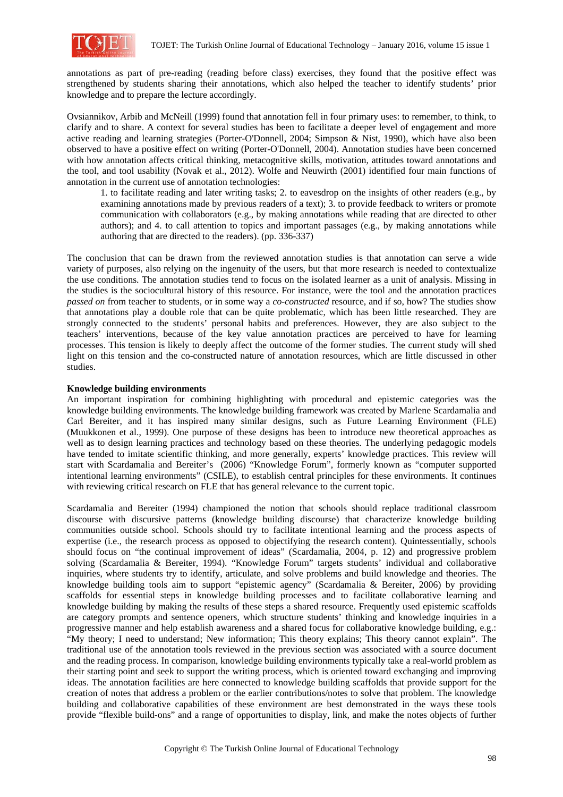

annotations as part of pre-reading (reading before class) exercises, they found that the positive effect was strengthened by students sharing their annotations, which also helped the teacher to identify students' prior knowledge and to prepare the lecture accordingly.

Ovsiannikov, Arbib and McNeill (1999) found that annotation fell in four primary uses: to remember, to think, to clarify and to share. A context for several studies has been to facilitate a deeper level of engagement and more active reading and learning strategies (Porter-O'Donnell, 2004; Simpson & Nist, 1990), which have also been observed to have a positive effect on writing (Porter-O'Donnell, 2004). Annotation studies have been concerned with how annotation affects critical thinking, metacognitive skills, motivation, attitudes toward annotations and the tool, and tool usability (Novak et al., 2012). Wolfe and Neuwirth (2001) identified four main functions of annotation in the current use of annotation technologies:

1. to facilitate reading and later writing tasks; 2. to eavesdrop on the insights of other readers (e.g., by examining annotations made by previous readers of a text); 3. to provide feedback to writers or promote communication with collaborators (e.g., by making annotations while reading that are directed to other authors); and 4. to call attention to topics and important passages (e.g., by making annotations while authoring that are directed to the readers). (pp. 336-337)

The conclusion that can be drawn from the reviewed annotation studies is that annotation can serve a wide variety of purposes, also relying on the ingenuity of the users, but that more research is needed to contextualize the use conditions. The annotation studies tend to focus on the isolated learner as a unit of analysis. Missing in the studies is the sociocultural history of this resource. For instance, were the tool and the annotation practices *passed on* from teacher to students, or in some way a *co-constructed* resource, and if so, how? The studies show that annotations play a double role that can be quite problematic, which has been little researched. They are strongly connected to the students' personal habits and preferences. However, they are also subject to the teachers' interventions, because of the key value annotation practices are perceived to have for learning processes. This tension is likely to deeply affect the outcome of the former studies. The current study will shed light on this tension and the co-constructed nature of annotation resources, which are little discussed in other studies.

### **Knowledge building environments**

An important inspiration for combining highlighting with procedural and epistemic categories was the knowledge building environments. The knowledge building framework was created by Marlene Scardamalia and Carl Bereiter, and it has inspired many similar designs, such as Future Learning Environment (FLE) (Muukkonen et al., 1999). One purpose of these designs has been to introduce new theoretical approaches as well as to design learning practices and technology based on these theories. The underlying pedagogic models have tended to imitate scientific thinking, and more generally, experts' knowledge practices. This review will start with Scardamalia and Bereiter's (2006) "Knowledge Forum", formerly known as "computer supported intentional learning environments" (CSILE), to establish central principles for these environments. It continues with reviewing critical research on FLE that has general relevance to the current topic.

Scardamalia and Bereiter (1994) championed the notion that schools should replace traditional classroom discourse with discursive patterns (knowledge building discourse) that characterize knowledge building communities outside school. Schools should try to facilitate intentional learning and the process aspects of expertise (i.e., the research process as opposed to objectifying the research content). Quintessentially, schools should focus on "the continual improvement of ideas" (Scardamalia, 2004, p. 12) and progressive problem solving (Scardamalia & Bereiter, 1994). "Knowledge Forum" targets students' individual and collaborative inquiries, where students try to identify, articulate, and solve problems and build knowledge and theories. The knowledge building tools aim to support "epistemic agency" (Scardamalia & Bereiter, 2006) by providing scaffolds for essential steps in knowledge building processes and to facilitate collaborative learning and knowledge building by making the results of these steps a shared resource. Frequently used epistemic scaffolds are category prompts and sentence openers, which structure students' thinking and knowledge inquiries in a progressive manner and help establish awareness and a shared focus for collaborative knowledge building, e.g.: "My theory; I need to understand; New information; This theory explains; This theory cannot explain". The traditional use of the annotation tools reviewed in the previous section was associated with a source document and the reading process. In comparison, knowledge building environments typically take a real-world problem as their starting point and seek to support the writing process, which is oriented toward exchanging and improving ideas. The annotation facilities are here connected to knowledge building scaffolds that provide support for the creation of notes that address a problem or the earlier contributions/notes to solve that problem. The knowledge building and collaborative capabilities of these environment are best demonstrated in the ways these tools provide "flexible build-ons" and a range of opportunities to display, link, and make the notes objects of further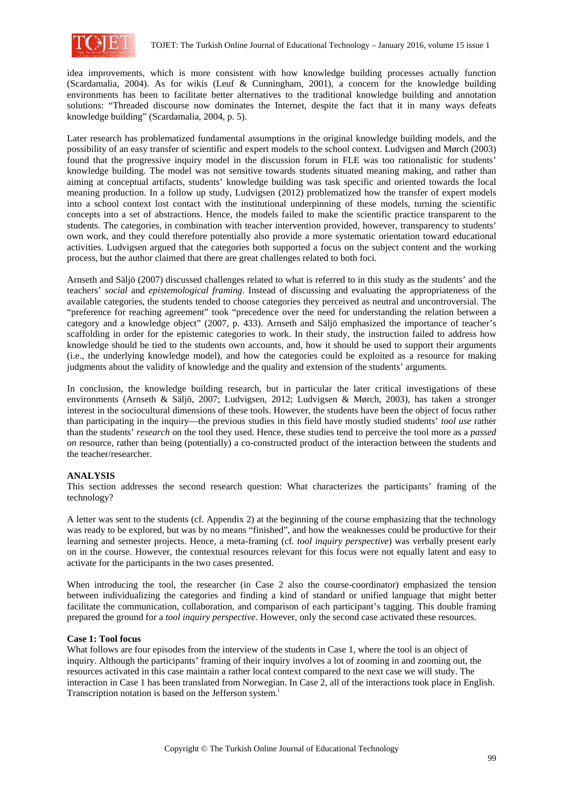

idea improvements, which is more consistent with how knowledge building processes actually function (Scardamalia, 2004). As for wikis (Leuf & Cunningham, 2001), a concern for the knowledge building environments has been to facilitate better alternatives to the traditional knowledge building and annotation solutions: "Threaded discourse now dominates the Internet, despite the fact that it in many ways defeats knowledge building" (Scardamalia, 2004, p. 5).

Later research has problematized fundamental assumptions in the original knowledge building models, and the possibility of an easy transfer of scientific and expert models to the school context. Ludvigsen and Mørch (2003) found that the progressive inquiry model in the discussion forum in FLE was too rationalistic for students' knowledge building. The model was not sensitive towards students situated meaning making, and rather than aiming at conceptual artifacts, students' knowledge building was task specific and oriented towards the local meaning production. In a follow up study, Ludvigsen (2012) problematized how the transfer of expert models into a school context lost contact with the institutional underpinning of these models, turning the scientific concepts into a set of abstractions. Hence, the models failed to make the scientific practice transparent to the students. The categories, in combination with teacher intervention provided, however, transparency to students' own work, and they could therefore potentially also provide a more systematic orientation toward educational activities. Ludvigsen argued that the categories both supported a focus on the subject content and the working process, but the author claimed that there are great challenges related to both foci.

Arnseth and Säljö (2007) discussed challenges related to what is referred to in this study as the students' and the teachers' *social* and *epistemological framing*. Instead of discussing and evaluating the appropriateness of the available categories, the students tended to choose categories they perceived as neutral and uncontroversial. The "preference for reaching agreement" took "precedence over the need for understanding the relation between a category and a knowledge object" (2007, p. 433). Arnseth and Säljö emphasized the importance of teacher's scaffolding in order for the epistemic categories to work. In their study, the instruction failed to address how knowledge should be tied to the students own accounts, and, how it should be used to support their arguments (i.e., the underlying knowledge model), and how the categories could be exploited as a resource for making judgments about the validity of knowledge and the quality and extension of the students' arguments.

In conclusion, the knowledge building research, but in particular the later critical investigations of these environments (Arnseth & Säljö, 2007; Ludvigsen, 2012; Ludvigsen & Mørch, 2003), has taken a stronger interest in the sociocultural dimensions of these tools. However, the students have been the object of focus rather than participating in the inquiry—the previous studies in this field have mostly studied students' *tool use* rather than the students' *research* on the tool they used. Hence, these studies tend to perceive the tool more as a *passed on* resource, rather than being (potentially) a co-constructed product of the interaction between the students and the teacher/researcher.

# **ANALYSIS**

This section addresses the second research question: What characterizes the participants' framing of the technology?

A letter was sent to the students (cf. Appendix 2) at the beginning of the course emphasizing that the technology was ready to be explored, but was by no means "finished", and how the weaknesses could be productive for their learning and semester projects. Hence, a meta-framing (cf*. tool inquiry perspective*) was verbally present early on in the course. However, the contextual resources relevant for this focus were not equally latent and easy to activate for the participants in the two cases presented.

When introducing the tool, the researcher (in Case 2 also the course-coordinator) emphasized the tension between individualizing the categories and finding a kind of standard or unified language that might better facilitate the communication, collaboration, and comparison of each participant's tagging. This double framing prepared the ground for a *tool inquiry perspective*. However, only the second case activated these resources.

# **Case 1: Tool focus**

What follows are four episodes from the interview of the students in Case 1, where the tool is an object of inquiry. Although the participants' framing of their inquiry involves a lot of zooming in and zooming out, the resources activated in this case maintain a rather local context compared to the next case we will study. The interaction in Case 1 has been translated from Norwegian. In Case 2, all of the interactions took place in English. Transcription notation is based on the Jefferson system.<sup>i</sup>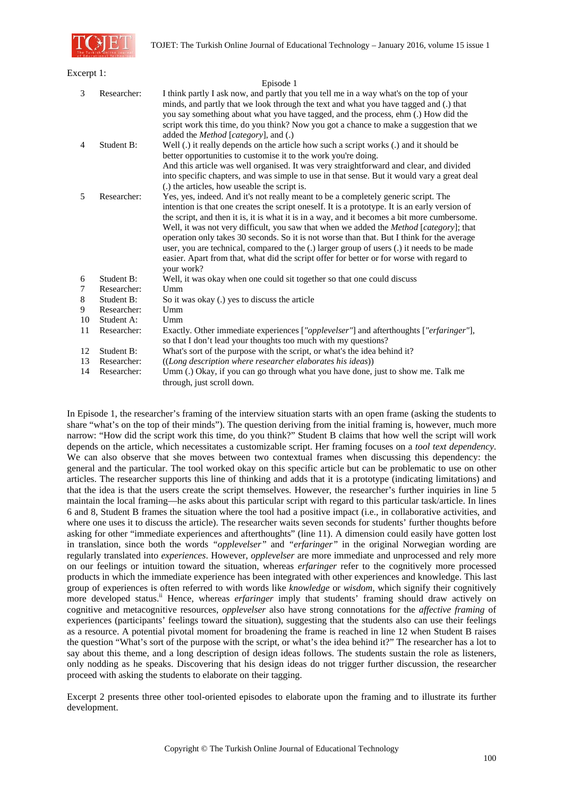

Excerpt 1:

|                |             | Episode 1                                                                                                                                                                                                                                                               |
|----------------|-------------|-------------------------------------------------------------------------------------------------------------------------------------------------------------------------------------------------------------------------------------------------------------------------|
| 3              | Researcher: | I think partly I ask now, and partly that you tell me in a way what's on the top of your<br>minds, and partly that we look through the text and what you have tagged and (.) that<br>you say something about what you have tagged, and the process, ehm (.) How did the |
|                |             | script work this time, do you think? Now you got a chance to make a suggestion that we                                                                                                                                                                                  |
|                |             | added the <i>Method</i> [ <i>category</i> ], and (.)                                                                                                                                                                                                                    |
| $\overline{4}$ | Student B:  | Well (.) it really depends on the article how such a script works (.) and it should be                                                                                                                                                                                  |
|                |             | better opportunities to customise it to the work you're doing.                                                                                                                                                                                                          |
|                |             | And this article was well organised. It was very straightforward and clear, and divided                                                                                                                                                                                 |
|                |             | into specific chapters, and was simple to use in that sense. But it would vary a great deal<br>(.) the articles, how useable the script is.                                                                                                                             |
| 5              | Researcher: | Yes, yes, indeed. And it's not really meant to be a completely generic script. The                                                                                                                                                                                      |
|                |             | intention is that one creates the script oneself. It is a prototype. It is an early version of                                                                                                                                                                          |
|                |             | the script, and then it is, it is what it is in a way, and it becomes a bit more cumbersome.                                                                                                                                                                            |
|                |             | Well, it was not very difficult, you saw that when we added the Method [category]; that                                                                                                                                                                                 |
|                |             | operation only takes 30 seconds. So it is not worse than that. But I think for the average                                                                                                                                                                              |
|                |             | user, you are technical, compared to the (.) larger group of users (.) it needs to be made                                                                                                                                                                              |
|                |             | easier. Apart from that, what did the script offer for better or for worse with regard to                                                                                                                                                                               |
|                |             | your work?                                                                                                                                                                                                                                                              |
| 6              | Student B:  | Well, it was okay when one could sit together so that one could discuss                                                                                                                                                                                                 |
| 7              | Researcher: | U <sub>mm</sub>                                                                                                                                                                                                                                                         |
| 8              | Student B:  | So it was okay (.) yes to discuss the article                                                                                                                                                                                                                           |
| 9              | Researcher: | Umm                                                                                                                                                                                                                                                                     |
| 10             | Student A:  | U <sub>mm</sub>                                                                                                                                                                                                                                                         |
| 11             | Researcher: | Exactly. Other immediate experiences ["opplevelser"] and afterthoughts ["erfaringer"],<br>so that I don't lead your thoughts too much with my questions?                                                                                                                |
| 12             | Student B:  | What's sort of the purpose with the script, or what's the idea behind it?                                                                                                                                                                                               |
| 13             | Researcher: | ((Long description where researcher elaborates his ideas))                                                                                                                                                                                                              |
| 14             | Researcher: | Umm (.) Okay, if you can go through what you have done, just to show me. Talk me                                                                                                                                                                                        |
|                |             | through, just scroll down.                                                                                                                                                                                                                                              |

In Episode 1, the researcher's framing of the interview situation starts with an open frame (asking the students to share "what's on the top of their minds"). The question deriving from the initial framing is, however, much more narrow: "How did the script work this time, do you think?" Student B claims that how well the script will work depends on the article, which necessitates a customizable script. Her framing focuses on a *tool text dependency*. We can also observe that she moves between two contextual frames when discussing this dependency: the general and the particular. The tool worked okay on this specific article but can be problematic to use on other articles. The researcher supports this line of thinking and adds that it is a prototype (indicating limitations) and that the idea is that the users create the script themselves. However, the researcher's further inquiries in line 5 maintain the local framing—he asks about this particular script with regard to this particular task/article. In lines 6 and 8, Student B frames the situation where the tool had a positive impact (i.e., in collaborative activities, and where one uses it to discuss the article). The researcher waits seven seconds for students' further thoughts before asking for other "immediate experiences and afterthoughts" (line 11). A dimension could easily have gotten lost in translation, since both the words *"opplevelser"* and *"erfaringer"* in the original Norwegian wording are regularly translated into *experiences*. However, *opplevelser* are more immediate and unprocessed and rely more on our feelings or intuition toward the situation, whereas *erfaringer* refer to the cognitively more processed products in which the immediate experience has been integrated with other experiences and knowledge. This last group of experiences is often referred to with words like *knowledge* or *wisdom*, which signify their cognitively more developed status.ii Hence, whereas *erfaringer* imply that students' framing should draw actively on cognitive and metacognitive resources, *opplevelser* also have strong connotations for the *affective framing* of experiences (participants' feelings toward the situation), suggesting that the students also can use their feelings as a resource. A potential pivotal moment for broadening the frame is reached in line 12 when Student B raises the question "What's sort of the purpose with the script, or what's the idea behind it?" The researcher has a lot to say about this theme, and a long description of design ideas follows. The students sustain the role as listeners, only nodding as he speaks. Discovering that his design ideas do not trigger further discussion, the researcher proceed with asking the students to elaborate on their tagging.

Excerpt 2 presents three other tool-oriented episodes to elaborate upon the framing and to illustrate its further development.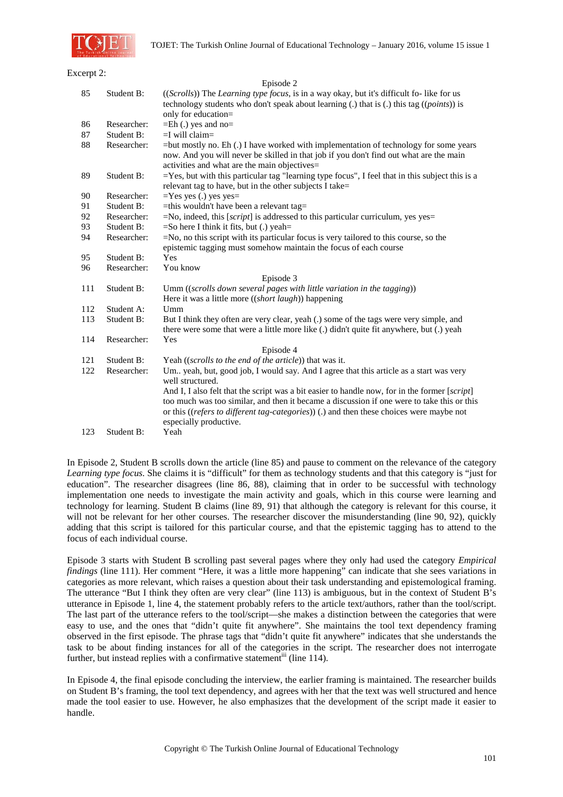

Excerpt 2:

|     |             | Episode 2                                                                                                                                                                                                                       |
|-----|-------------|---------------------------------------------------------------------------------------------------------------------------------------------------------------------------------------------------------------------------------|
| 85  | Student B:  | ((Scrolls)) The Learning type focus, is in a way okay, but it's difficult fo- like for us                                                                                                                                       |
|     |             | technology students who don't speak about learning (.) that is (.) this tag $((points))$ is                                                                                                                                     |
|     |             | only for education=                                                                                                                                                                                                             |
| 86  | Researcher: | $=$ Eh (.) yes and no $=$                                                                                                                                                                                                       |
| 87  | Student B:  | $=$ I will claim $=$                                                                                                                                                                                                            |
| 88  | Researcher: | =but mostly no. Eh (.) I have worked with implementation of technology for some years<br>now. And you will never be skilled in that job if you don't find out what are the main<br>activities and what are the main objectives= |
| 89  | Student B:  | $=$ Yes, but with this particular tag "learning type focus", I feel that in this subject this is a<br>relevant tag to have, but in the other subjects I take=                                                                   |
| 90  | Researcher: | $=$ Yes yes (.) yes yes $=$                                                                                                                                                                                                     |
| 91  | Student B:  | =this wouldn't have been a relevant tag=                                                                                                                                                                                        |
| 92  | Researcher: | $=$ No, indeed, this [ <i>script</i> ] is addressed to this particular curriculum, yes yes $=$                                                                                                                                  |
| 93  | Student B:  | $=$ So here I think it fits, but (.) yeah $=$                                                                                                                                                                                   |
| 94  | Researcher: | $=N0$ , no this script with its particular focus is very tailored to this course, so the                                                                                                                                        |
|     |             | epistemic tagging must somehow maintain the focus of each course                                                                                                                                                                |
| 95  | Student B:  | Yes                                                                                                                                                                                                                             |
| 96  | Researcher: | You know                                                                                                                                                                                                                        |
|     |             | Episode 3                                                                                                                                                                                                                       |
| 111 | Student B:  | Umm ((scrolls down several pages with little variation in the tagging))                                                                                                                                                         |
|     |             | Here it was a little more ((short laugh)) happening                                                                                                                                                                             |
| 112 | Student A:  | Umm                                                                                                                                                                                                                             |
| 113 | Student B:  | But I think they often are very clear, yeah (.) some of the tags were very simple, and<br>there were some that were a little more like (.) didn't quite fit anywhere, but (.) yeah                                              |
| 114 | Researcher: | Yes                                                                                                                                                                                                                             |
|     |             | Episode 4                                                                                                                                                                                                                       |
| 121 | Student B:  | Yeah ((scrolls to the end of the article)) that was it.                                                                                                                                                                         |
| 122 | Researcher: | Um yeah, but, good job, I would say. And I agree that this article as a start was very                                                                                                                                          |
|     |             | well structured.                                                                                                                                                                                                                |
|     |             | And I, I also felt that the script was a bit easier to handle now, for in the former [script]                                                                                                                                   |
|     |             | too much was too similar, and then it became a discussion if one were to take this or this                                                                                                                                      |
|     |             | or this ((refers to different tag-categories)) (.) and then these choices were maybe not                                                                                                                                        |
|     |             | especially productive.                                                                                                                                                                                                          |
| 123 | Student B:  | Yeah                                                                                                                                                                                                                            |

In Episode 2, Student B scrolls down the article (line 85) and pause to comment on the relevance of the category *Learning type focus*. She claims it is "difficult" for them as technology students and that this category is "just for education". The researcher disagrees (line 86, 88), claiming that in order to be successful with technology implementation one needs to investigate the main activity and goals, which in this course were learning and technology for learning. Student B claims (line 89, 91) that although the category is relevant for this course, it will not be relevant for her other courses. The researcher discover the misunderstanding (line 90, 92), quickly adding that this script is tailored for this particular course, and that the epistemic tagging has to attend to the focus of each individual course.

Episode 3 starts with Student B scrolling past several pages where they only had used the category *Empirical findings* (line 111). Her comment "Here, it was a little more happening" can indicate that she sees variations in categories as more relevant, which raises a question about their task understanding and epistemological framing. The utterance "But I think they often are very clear" (line 113) is ambiguous, but in the context of Student B's utterance in Episode 1, line 4, the statement probably refers to the article text/authors, rather than the tool/script. The last part of the utterance refers to the tool/script—she makes a distinction between the categories that were easy to use, and the ones that "didn't quite fit anywhere". She maintains the tool text dependency framing observed in the first episode. The phrase tags that "didn't quite fit anywhere" indicates that she understands the task to be about finding instances for all of the categories in the script. The researcher does not interrogate further, but instead replies with a confirmative statement<sup>iii</sup> (line 114).

In Episode 4, the final episode concluding the interview, the earlier framing is maintained. The researcher builds on Student B's framing, the tool text dependency, and agrees with her that the text was well structured and hence made the tool easier to use. However, he also emphasizes that the development of the script made it easier to handle.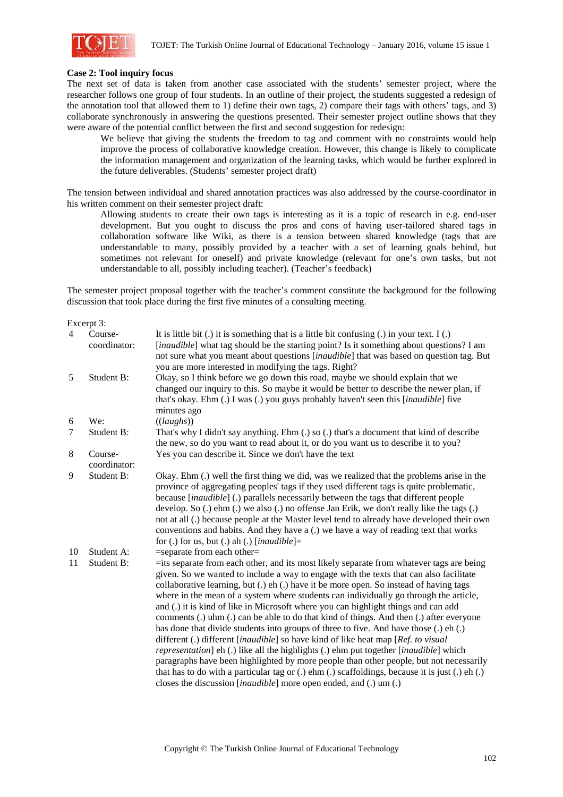

#### **Case 2: Tool inquiry focus**

The next set of data is taken from another case associated with the students' semester project, where the researcher follows one group of four students. In an outline of their project, the students suggested a redesign of the annotation tool that allowed them to 1) define their own tags, 2) compare their tags with others' tags, and 3) collaborate synchronously in answering the questions presented. Their semester project outline shows that they were aware of the potential conflict between the first and second suggestion for redesign:

We believe that giving the students the freedom to tag and comment with no constraints would help improve the process of collaborative knowledge creation. However, this change is likely to complicate the information management and organization of the learning tasks, which would be further explored in the future deliverables. (Students' semester project draft)

The tension between individual and shared annotation practices was also addressed by the course-coordinator in his written comment on their semester project draft:

Allowing students to create their own tags is interesting as it is a topic of research in e.g. end-user development. But you ought to discuss the pros and cons of having user-tailored shared tags in collaboration software like Wiki, as there is a tension between shared knowledge (tags that are understandable to many, possibly provided by a teacher with a set of learning goals behind, but sometimes not relevant for oneself) and private knowledge (relevant for one's own tasks, but not understandable to all, possibly including teacher). (Teacher's feedback)

The semester project proposal together with the teacher's comment constitute the background for the following discussion that took place during the first five minutes of a consulting meeting.

Excerpt 3:

| $\overline{4}$ | Course-<br>coordinator:  | It is little bit (.) it is something that is a little bit confusing (.) in your text. $I(.)$<br>[ <i>inaudible</i> ] what tag should be the starting point? Is it something about questions? I am<br>not sure what you meant about questions [inaudible] that was based on question tag. But                                                                                                                                                                                                                                                                                                                                                                                                                                                                                                                                                                                                                                                                                                                                                                                                                                                                          |
|----------------|--------------------------|-----------------------------------------------------------------------------------------------------------------------------------------------------------------------------------------------------------------------------------------------------------------------------------------------------------------------------------------------------------------------------------------------------------------------------------------------------------------------------------------------------------------------------------------------------------------------------------------------------------------------------------------------------------------------------------------------------------------------------------------------------------------------------------------------------------------------------------------------------------------------------------------------------------------------------------------------------------------------------------------------------------------------------------------------------------------------------------------------------------------------------------------------------------------------|
| 5              | Student B:               | you are more interested in modifying the tags. Right?<br>Okay, so I think before we go down this road, maybe we should explain that we<br>changed our inquiry to this. So maybe it would be better to describe the newer plan, if<br>that's okay. Ehm (.) I was (.) you guys probably haven't seen this [ <i>inaudible</i> ] five<br>minutes ago                                                                                                                                                                                                                                                                                                                                                                                                                                                                                                                                                                                                                                                                                                                                                                                                                      |
| 6              | We:                      | ((laughs))                                                                                                                                                                                                                                                                                                                                                                                                                                                                                                                                                                                                                                                                                                                                                                                                                                                                                                                                                                                                                                                                                                                                                            |
| 7              | Student B:               | That's why I didn't say anything. Ehm (.) so (.) that's a document that kind of describe<br>the new, so do you want to read about it, or do you want us to describe it to you?                                                                                                                                                                                                                                                                                                                                                                                                                                                                                                                                                                                                                                                                                                                                                                                                                                                                                                                                                                                        |
| $\,8\,$        | Course-<br>coordinator:  | Yes you can describe it. Since we don't have the text                                                                                                                                                                                                                                                                                                                                                                                                                                                                                                                                                                                                                                                                                                                                                                                                                                                                                                                                                                                                                                                                                                                 |
| 9              | Student B:               | Okay. Ehm (.) well the first thing we did, was we realized that the problems arise in the<br>province of aggregating peoples' tags if they used different tags is quite problematic,<br>because [ <i>inaudible</i> ] (.) parallels necessarily between the tags that different people<br>develop. So (.) ehm (.) we also (.) no offense Jan Erik, we don't really like the tags (.)<br>not at all (.) because people at the Master level tend to already have developed their own<br>conventions and habits. And they have a (.) we have a way of reading text that works<br>for (.) for us, but (.) ah (.) $[inaudible] =$                                                                                                                                                                                                                                                                                                                                                                                                                                                                                                                                           |
| 10<br>11       | Student A:<br>Student B: | $=$ separate from each other $=$<br>= its separate from each other, and its most likely separate from whatever tags are being<br>given. So we wanted to include a way to engage with the texts that can also facilitate<br>collaborative learning, but (.) eh (.) have it be more open. So instead of having tags<br>where in the mean of a system where students can individually go through the article,<br>and (.) it is kind of like in Microsoft where you can highlight things and can add<br>comments (.) uhm (.) can be able to do that kind of things. And then (.) after everyone<br>has done that divide students into groups of three to five. And have those (.) eh (.)<br>different (.) different [inaudible] so have kind of like heat map [Ref. to visual<br><i>representation</i> [eh (.) like all the highlights (.) ehm put together [ <i>inaudible</i> ] which<br>paragraphs have been highlighted by more people than other people, but not necessarily<br>that has to do with a particular tag or $(.)$ ehm $(.)$ scaffoldings, because it is just $(.)$ eh $(.)$<br>closes the discussion [ <i>inaudible</i> ] more open ended, and (.) um (.) |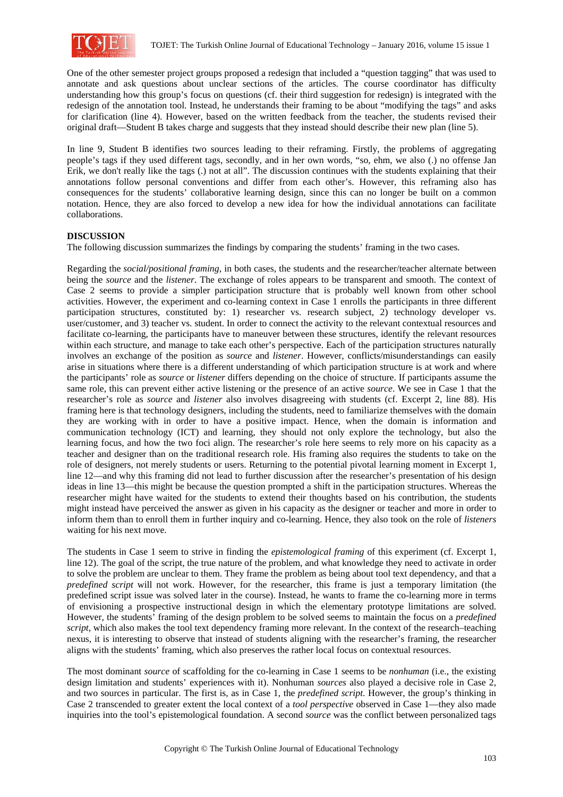

One of the other semester project groups proposed a redesign that included a "question tagging" that was used to annotate and ask questions about unclear sections of the articles. The course coordinator has difficulty understanding how this group's focus on questions (cf. their third suggestion for redesign) is integrated with the redesign of the annotation tool. Instead, he understands their framing to be about "modifying the tags" and asks for clarification (line 4). However, based on the written feedback from the teacher, the students revised their original draft—Student B takes charge and suggests that they instead should describe their new plan (line 5).

In line 9, Student B identifies two sources leading to their reframing. Firstly, the problems of aggregating people's tags if they used different tags, secondly, and in her own words, "so, ehm, we also (.) no offense Jan Erik, we don't really like the tags (.) not at all". The discussion continues with the students explaining that their annotations follow personal conventions and differ from each other's. However, this reframing also has consequences for the students' collaborative learning design, since this can no longer be built on a common notation. Hence, they are also forced to develop a new idea for how the individual annotations can facilitate collaborations.

# **DISCUSSION**

The following discussion summarizes the findings by comparing the students' framing in the two cases.

Regarding the *social/positional framing*, in both cases, the students and the researcher/teacher alternate between being the *source* and the *listener*. The exchange of roles appears to be transparent and smooth. The context of Case 2 seems to provide a simpler participation structure that is probably well known from other school activities. However, the experiment and co-learning context in Case 1 enrolls the participants in three different participation structures, constituted by: 1) researcher vs. research subject, 2) technology developer vs. user/customer, and 3) teacher vs. student. In order to connect the activity to the relevant contextual resources and facilitate co-learning, the participants have to maneuver between these structures, identify the relevant resources within each structure, and manage to take each other's perspective. Each of the participation structures naturally involves an exchange of the position as *source* and *listener*. However, conflicts/misunderstandings can easily arise in situations where there is a different understanding of which participation structure is at work and where the participants' role as *source* or *listener* differs depending on the choice of structure. If participants assume the same role, this can prevent either active listening or the presence of an active *source*. We see in Case 1 that the researcher's role as *source* and *listener* also involves disagreeing with students (cf. Excerpt 2, line 88). His framing here is that technology designers, including the students, need to familiarize themselves with the domain they are working with in order to have a positive impact. Hence, when the domain is information and communication technology (ICT) and learning, they should not only explore the technology, but also the learning focus, and how the two foci align. The researcher's role here seems to rely more on his capacity as a teacher and designer than on the traditional research role. His framing also requires the students to take on the role of designers, not merely students or users. Returning to the potential pivotal learning moment in Excerpt 1, line 12—and why this framing did not lead to further discussion after the researcher's presentation of his design ideas in line 13—this might be because the question prompted a shift in the participation structures. Whereas the researcher might have waited for the students to extend their thoughts based on his contribution, the students might instead have perceived the answer as given in his capacity as the designer or teacher and more in order to inform them than to enroll them in further inquiry and co-learning. Hence, they also took on the role of *listeners* waiting for his next move.

The students in Case 1 seem to strive in finding the *epistemological framing* of this experiment (cf. Excerpt 1, line 12). The goal of the script, the true nature of the problem, and what knowledge they need to activate in order to solve the problem are unclear to them. They frame the problem as being about tool text dependency, and that a *predefined script* will not work. However, for the researcher, this frame is just a temporary limitation (the predefined script issue was solved later in the course). Instead, he wants to frame the co-learning more in terms of envisioning a prospective instructional design in which the elementary prototype limitations are solved. However, the students' framing of the design problem to be solved seems to maintain the focus on a *predefined script*, which also makes the tool text dependency framing more relevant. In the context of the research–teaching nexus, it is interesting to observe that instead of students aligning with the researcher's framing, the researcher aligns with the students' framing, which also preserves the rather local focus on contextual resources.

The most dominant *source* of scaffolding for the co-learning in Case 1 seems to be *nonhuman* (i.e., the existing design limitation and students' experiences with it). Nonhuman *sources* also played a decisive role in Case 2, and two sources in particular. The first is, as in Case 1, the *predefined script*. However, the group's thinking in Case 2 transcended to greater extent the local context of a *tool perspective* observed in Case 1—they also made inquiries into the tool's epistemological foundation. A second *source* was the conflict between personalized tags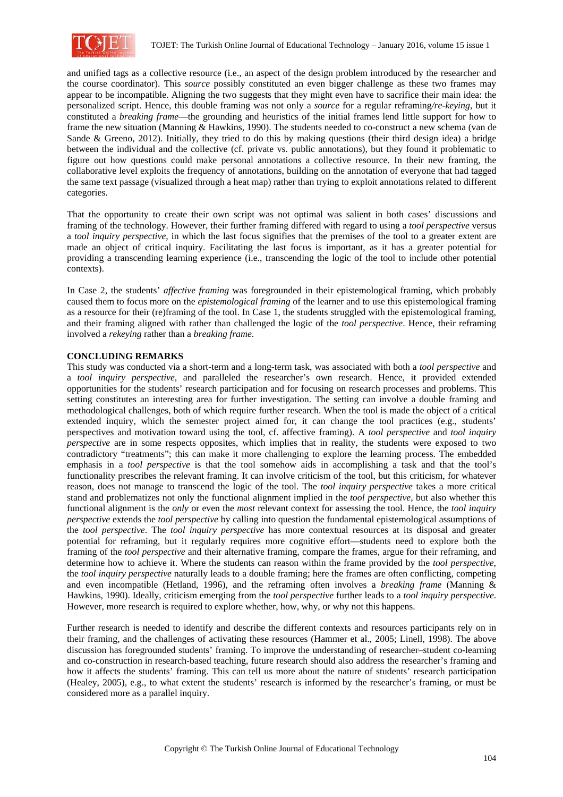

and unified tags as a collective resource (i.e., an aspect of the design problem introduced by the researcher and the course coordinator). This *source* possibly constituted an even bigger challenge as these two frames may appear to be incompatible. Aligning the two suggests that they might even have to sacrifice their main idea: the personalized script. Hence, this double framing was not only a *source* for a regular reframing*/re-keying*, but it constituted a *breaking frame*—the grounding and heuristics of the initial frames lend little support for how to frame the new situation (Manning & Hawkins, 1990). The students needed to co-construct a new schema (van de Sande & Greeno, 2012). Initially, they tried to do this by making questions (their third design idea) a bridge between the individual and the collective (cf. private vs. public annotations), but they found it problematic to figure out how questions could make personal annotations a collective resource. In their new framing, the collaborative level exploits the frequency of annotations, building on the annotation of everyone that had tagged the same text passage (visualized through a heat map) rather than trying to exploit annotations related to different categories.

That the opportunity to create their own script was not optimal was salient in both cases' discussions and framing of the technology. However, their further framing differed with regard to using a *tool perspective* versus a *tool inquiry perspective*, in which the last focus signifies that the premises of the tool to a greater extent are made an object of critical inquiry. Facilitating the last focus is important, as it has a greater potential for providing a transcending learning experience (i.e., transcending the logic of the tool to include other potential contexts).

In Case 2, the students' *affective framing* was foregrounded in their epistemological framing, which probably caused them to focus more on the *epistemological framing* of the learner and to use this epistemological framing as a resource for their (re)framing of the tool. In Case 1, the students struggled with the epistemological framing, and their framing aligned with rather than challenged the logic of the *tool perspective*. Hence, their reframing involved a *rekeying* rather than a *breaking frame*.

# **CONCLUDING REMARKS**

This study was conducted via a short-term and a long-term task, was associated with both a *tool perspective* and a *tool inquiry perspective*, and paralleled the researcher's own research. Hence, it provided extended opportunities for the students' research participation and for focusing on research processes and problems. This setting constitutes an interesting area for further investigation. The setting can involve a double framing and methodological challenges, both of which require further research. When the tool is made the object of a critical extended inquiry, which the semester project aimed for, it can change the tool practices (e.g., students' perspectives and motivation toward using the tool, cf. affective framing). A *tool perspective* and *tool inquiry perspective* are in some respects opposites, which implies that in reality, the students were exposed to two contradictory "treatments"; this can make it more challenging to explore the learning process. The embedded emphasis in a *tool perspective* is that the tool somehow aids in accomplishing a task and that the tool's functionality prescribes the relevant framing. It can involve criticism of the tool, but this criticism, for whatever reason, does not manage to transcend the logic of the tool. The *tool inquiry perspective* takes a more critical stand and problematizes not only the functional alignment implied in the *tool perspective*, but also whether this functional alignment is the *only* or even the *most* relevant context for assessing the tool. Hence, the *tool inquiry perspective* extends the *tool perspective* by calling into question the fundamental epistemological assumptions of the *tool perspective*. The *tool inquiry perspective* has more contextual resources at its disposal and greater potential for reframing, but it regularly requires more cognitive effort—students need to explore both the framing of the *tool perspective* and their alternative framing, compare the frames, argue for their reframing, and determine how to achieve it. Where the students can reason within the frame provided by the *tool perspective*, the *tool inquiry perspective* naturally leads to a double framing; here the frames are often conflicting, competing and even incompatible (Hetland, 1996), and the reframing often involves a *breaking frame* (Manning & Hawkins, 1990). Ideally, criticism emerging from the *tool perspective* further leads to a *tool inquiry perspective*. However, more research is required to explore whether, how, why, or why not this happens.

Further research is needed to identify and describe the different contexts and resources participants rely on in their framing, and the challenges of activating these resources (Hammer et al., 2005; Linell, 1998). The above discussion has foregrounded students' framing. To improve the understanding of researcher–student co-learning and co-construction in research-based teaching, future research should also address the researcher's framing and how it affects the students' framing. This can tell us more about the nature of students' research participation (Healey, 2005), e.g., to what extent the students' research is informed by the researcher's framing, or must be considered more as a parallel inquiry.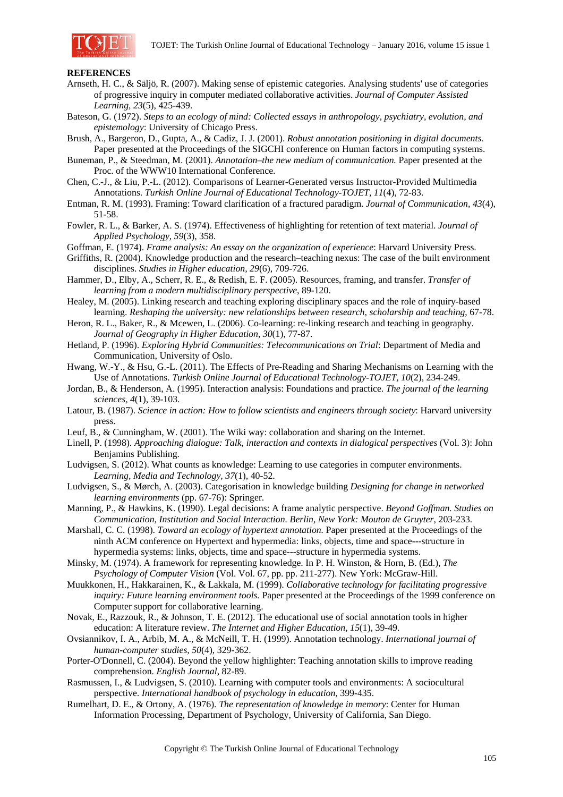

#### **REFERENCES**

- Arnseth, H. C., & Säljö, R. (2007). Making sense of epistemic categories. Analysing students' use of categories of progressive inquiry in computer mediated collaborative activities. *Journal of Computer Assisted Learning, 23*(5), 425-439.
- Bateson, G. (1972). *Steps to an ecology of mind: Collected essays in anthropology, psychiatry, evolution, and epistemology*: University of Chicago Press.
- Brush, A., Bargeron, D., Gupta, A., & Cadiz, J. J. (2001). *Robust annotation positioning in digital documents.* Paper presented at the Proceedings of the SIGCHI conference on Human factors in computing systems.
- Buneman, P., & Steedman, M. (2001). *Annotation–the new medium of communication.* Paper presented at the Proc. of the WWW10 International Conference.
- Chen, C.-J., & Liu, P.-L. (2012). Comparisons of Learner-Generated versus Instructor-Provided Multimedia Annotations. *Turkish Online Journal of Educational Technology-TOJET, 11*(4), 72-83.
- Entman, R. M. (1993). Framing: Toward clarification of a fractured paradigm. *Journal of Communication, 43*(4), 51-58.
- Fowler, R. L., & Barker, A. S. (1974). Effectiveness of highlighting for retention of text material. *Journal of Applied Psychology, 59*(3), 358.
- Goffman, E. (1974). *Frame analysis: An essay on the organization of experience*: Harvard University Press.
- Griffiths, R. (2004). Knowledge production and the research–teaching nexus: The case of the built environment disciplines. *Studies in Higher education, 29*(6), 709-726.
- Hammer, D., Elby, A., Scherr, R. E., & Redish, E. F. (2005). Resources, framing, and transfer. *Transfer of learning from a modern multidisciplinary perspective*, 89-120.
- Healey, M. (2005). Linking research and teaching exploring disciplinary spaces and the role of inquiry-based learning. *Reshaping the university: new relationships between research, scholarship and teaching*, 67-78.
- Heron, R. L., Baker, R., & Mcewen, L. (2006). Co-learning: re-linking research and teaching in geography. *Journal of Geography in Higher Education, 30*(1), 77-87.
- Hetland, P. (1996). *Exploring Hybrid Communities: Telecommunications on Trial*: Department of Media and Communication, University of Oslo.
- Hwang, W.-Y., & Hsu, G.-L. (2011). The Effects of Pre-Reading and Sharing Mechanisms on Learning with the Use of Annotations. *Turkish Online Journal of Educational Technology-TOJET, 10*(2), 234-249.
- Jordan, B., & Henderson, A. (1995). Interaction analysis: Foundations and practice. *The journal of the learning sciences, 4*(1), 39-103.
- Latour, B. (1987). *Science in action: How to follow scientists and engineers through society*: Harvard university press.
- Leuf, B., & Cunningham, W. (2001). The Wiki way: collaboration and sharing on the Internet.
- Linell, P. (1998). *Approaching dialogue: Talk, interaction and contexts in dialogical perspectives* (Vol. 3): John Benjamins Publishing.
- Ludvigsen, S. (2012). What counts as knowledge: Learning to use categories in computer environments. *Learning, Media and Technology, 37*(1), 40-52.
- Ludvigsen, S., & Mørch, A. (2003). Categorisation in knowledge building *Designing for change in networked learning environments* (pp. 67-76): Springer.
- Manning, P., & Hawkins, K. (1990). Legal decisions: A frame analytic perspective. *Beyond Goffman. Studies on Communication, Institution and Social Interaction. Berlin, New York: Mouton de Gruyter*, 203-233.
- Marshall, C. C. (1998). *Toward an ecology of hypertext annotation.* Paper presented at the Proceedings of the ninth ACM conference on Hypertext and hypermedia: links, objects, time and space---structure in hypermedia systems: links, objects, time and space---structure in hypermedia systems.
- Minsky, M. (1974). A framework for representing knowledge. In P. H. Winston, & Horn, B. (Ed.), *The Psychology of Computer Vision* (Vol. Vol. 67, pp. pp. 211-277). New York: McGraw-Hill.
- Muukkonen, H., Hakkarainen, K., & Lakkala, M. (1999). *Collaborative technology for facilitating progressive inquiry: Future learning environment tools.* Paper presented at the Proceedings of the 1999 conference on Computer support for collaborative learning.
- Novak, E., Razzouk, R., & Johnson, T. E. (2012). The educational use of social annotation tools in higher education: A literature review. *The Internet and Higher Education, 15*(1), 39-49.
- Ovsiannikov, I. A., Arbib, M. A., & McNeill, T. H. (1999). Annotation technology. *International journal of human-computer studies, 50*(4), 329-362.
- Porter-O'Donnell, C. (2004). Beyond the yellow highlighter: Teaching annotation skills to improve reading comprehension. *English Journal*, 82-89.
- Rasmussen, I., & Ludvigsen, S. (2010). Learning with computer tools and environments: A sociocultural perspective. *International handbook of psychology in education*, 399-435.
- Rumelhart, D. E., & Ortony, A. (1976). *The representation of knowledge in memory*: Center for Human Information Processing, Department of Psychology, University of California, San Diego.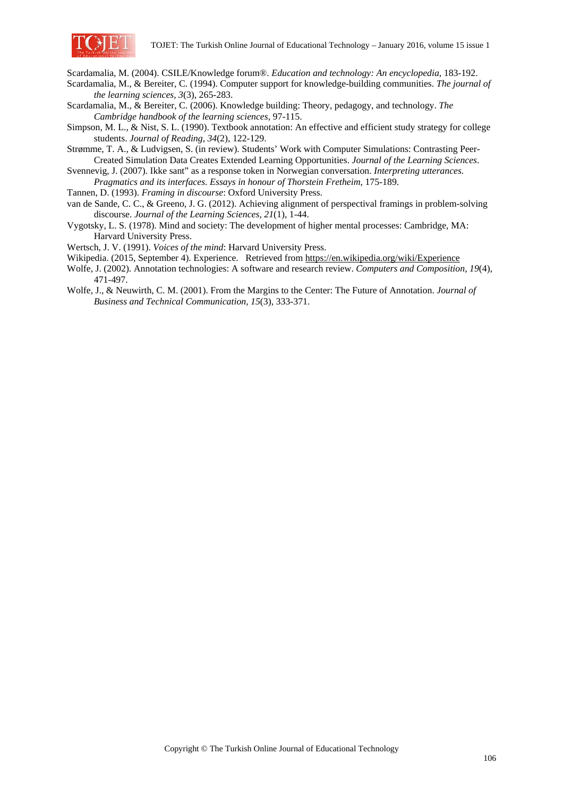

Scardamalia, M. (2004). CSILE/Knowledge forum®. *Education and technology: An encyclopedia*, 183-192.

- Scardamalia, M., & Bereiter, C. (1994). Computer support for knowledge-building communities. *The journal of the learning sciences, 3*(3), 265-283.
- Scardamalia, M., & Bereiter, C. (2006). Knowledge building: Theory, pedagogy, and technology. *The Cambridge handbook of the learning sciences*, 97-115.
- Simpson, M. L., & Nist, S. L. (1990). Textbook annotation: An effective and efficient study strategy for college students. *Journal of Reading, 34*(2), 122-129.
- Strømme, T. A., & Ludvigsen, S. (in review). Students' Work with Computer Simulations: Contrasting Peer-Created Simulation Data Creates Extended Learning Opportunities. *Journal of the Learning Sciences*.
- Svennevig, J. (2007). Ikke sant" as a response token in Norwegian conversation. *Interpreting utterances. Pragmatics and its interfaces. Essays in honour of Thorstein Fretheim*, 175-189.
- Tannen, D. (1993). *Framing in discourse*: Oxford University Press.
- van de Sande, C. C., & Greeno, J. G. (2012). Achieving alignment of perspectival framings in problem-solving discourse. *Journal of the Learning Sciences, 21*(1), 1-44.
- Vygotsky, L. S. (1978). Mind and society: The development of higher mental processes: Cambridge, MA: Harvard University Press.
- Wertsch, J. V. (1991). *Voices of the mind*: Harvard University Press.
- Wikipedia. (2015, September 4). Experience. Retrieved from https://en.wikipedia.org/wiki/Experience
- Wolfe, J. (2002). Annotation technologies: A software and research review. *Computers and Composition, 19*(4), 471-497.
- Wolfe, J., & Neuwirth, C. M. (2001). From the Margins to the Center: The Future of Annotation. *Journal of Business and Technical Communication, 15*(3), 333-371.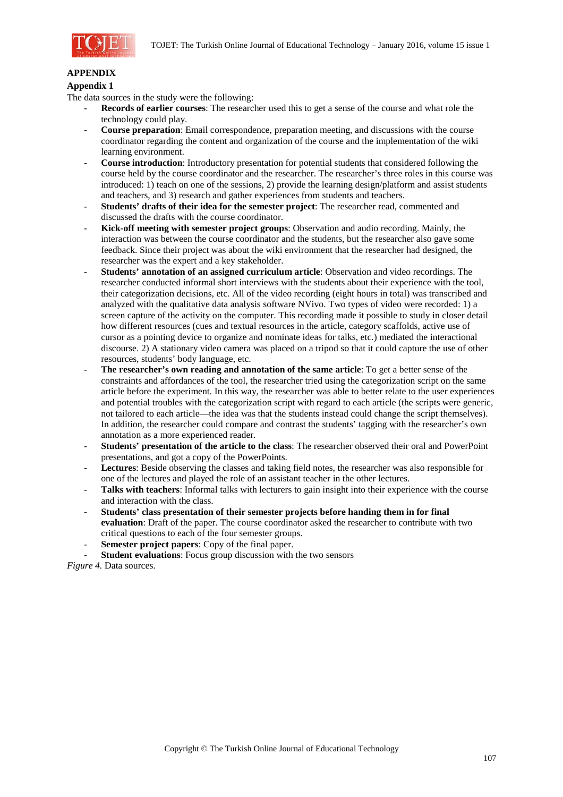

### **APPENDIX**

### **Appendix 1**

The data sources in the study were the following:

- **Records of earlier courses**: The researcher used this to get a sense of the course and what role the technology could play.
- **Course preparation**: Email correspondence, preparation meeting, and discussions with the course coordinator regarding the content and organization of the course and the implementation of the wiki learning environment.
- **Course introduction**: Introductory presentation for potential students that considered following the course held by the course coordinator and the researcher. The researcher's three roles in this course was introduced: 1) teach on one of the sessions, 2) provide the learning design/platform and assist students and teachers, and 3) research and gather experiences from students and teachers.
- **Students' drafts of their idea for the semester project**: The researcher read, commented and discussed the drafts with the course coordinator.
- **Kick-off meeting with semester project groups**: Observation and audio recording. Mainly, the interaction was between the course coordinator and the students, but the researcher also gave some feedback. Since their project was about the wiki environment that the researcher had designed, the researcher was the expert and a key stakeholder.
- **Students' annotation of an assigned curriculum article**: Observation and video recordings. The researcher conducted informal short interviews with the students about their experience with the tool, their categorization decisions, etc. All of the video recording (eight hours in total) was transcribed and analyzed with the qualitative data analysis software NVivo. Two types of video were recorded: 1) a screen capture of the activity on the computer. This recording made it possible to study in closer detail how different resources (cues and textual resources in the article, category scaffolds, active use of cursor as a pointing device to organize and nominate ideas for talks, etc.) mediated the interactional discourse. 2) A stationary video camera was placed on a tripod so that it could capture the use of other resources, students' body language, etc.
- **The researcher's own reading and annotation of the same article**: To get a better sense of the constraints and affordances of the tool, the researcher tried using the categorization script on the same article before the experiment. In this way, the researcher was able to better relate to the user experiences and potential troubles with the categorization script with regard to each article (the scripts were generic, not tailored to each article—the idea was that the students instead could change the script themselves). In addition, the researcher could compare and contrast the students' tagging with the researcher's own annotation as a more experienced reader.
- **Students' presentation of the article to the class**: The researcher observed their oral and PowerPoint presentations, and got a copy of the PowerPoints.
- **Lectures**: Beside observing the classes and taking field notes, the researcher was also responsible for one of the lectures and played the role of an assistant teacher in the other lectures.
- **Talks with teachers**: Informal talks with lecturers to gain insight into their experience with the course and interaction with the class.
- **Students' class presentation of their semester projects before handing them in for final evaluation**: Draft of the paper. The course coordinator asked the researcher to contribute with two critical questions to each of the four semester groups.
- **Semester project papers:** Copy of the final paper.
- **Student evaluations:** Focus group discussion with the two sensors *Figure 4.* Data sources.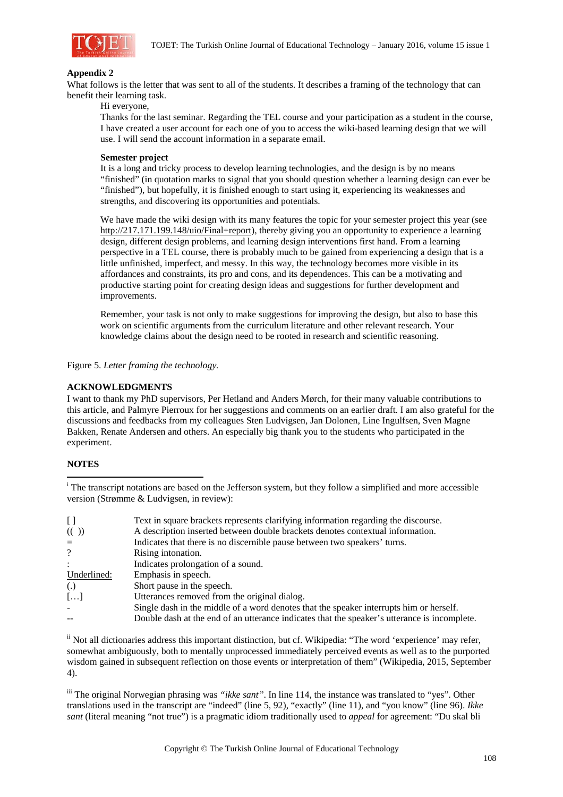

### **Appendix 2**

What follows is the letter that was sent to all of the students. It describes a framing of the technology that can benefit their learning task.

Hi everyone,

Thanks for the last seminar. Regarding the TEL course and your participation as a student in the course, I have created a user account for each one of you to access the wiki-based learning design that we will use. I will send the account information in a separate email.

### **Semester project**

It is a long and tricky process to develop learning technologies, and the design is by no means "finished" (in quotation marks to signal that you should question whether a learning design can ever be "finished"), but hopefully, it is finished enough to start using it, experiencing its weaknesses and strengths, and discovering its opportunities and potentials.

We have made the wiki design with its many features the topic for your semester project this year (see http://217.171.199.148/uio/Final+report), thereby giving you an opportunity to experience a learning design, different design problems, and learning design interventions first hand. From a learning perspective in a TEL course, there is probably much to be gained from experiencing a design that is a little unfinished, imperfect, and messy. In this way, the technology becomes more visible in its affordances and constraints, its pro and cons, and its dependences. This can be a motivating and productive starting point for creating design ideas and suggestions for further development and improvements.

Remember, your task is not only to make suggestions for improving the design, but also to base this work on scientific arguments from the curriculum literature and other relevant research. Your knowledge claims about the design need to be rooted in research and scientific reasoning.

Figure 5. *Letter framing the technology.*

### **ACKNOWLEDGMENTS**

I want to thank my PhD supervisors, Per Hetland and Anders Mørch, for their many valuable contributions to this article, and Palmyre Pierroux for her suggestions and comments on an earlier draft. I am also grateful for the discussions and feedbacks from my colleagues Sten Ludvigsen, Jan Dolonen, Line Ingulfsen, Sven Magne Bakken, Renate Andersen and others. An especially big thank you to the students who participated in the experiment.

# **NOTES**

<sup>&</sup>lt;sup>i</sup> The transcript notations are based on the Jefferson system, but they follow a simplified and more accessible version (Strømme & Ludvigsen, in review):

| $\Box$               | Text in square brackets represents clarifying information regarding the discourse.           |
|----------------------|----------------------------------------------------------------------------------------------|
| (()                  | A description inserted between double brackets denotes contextual information.               |
| $=$                  | Indicates that there is no discernible pause between two speakers' turns.                    |
| $\gamma$             | Rising intonation.                                                                           |
| $\ddot{\phantom{0}}$ | Indicates prolongation of a sound.                                                           |
| Underlined:          | Emphasis in speech.                                                                          |
| $\lambda$            | Short pause in the speech.                                                                   |
| $\lceil  \rceil$     | Utterances removed from the original dialog.                                                 |
|                      | Single dash in the middle of a word denotes that the speaker interrupts him or herself.      |
|                      | Double dash at the end of an utterance indicates that the speaker's utterance is incomplete. |

ii Not all dictionaries address this important distinction, but cf. Wikipedia: "The word 'experience' may refer, somewhat ambiguously, both to mentally unprocessed immediately perceived events as well as to the purported wisdom gained in subsequent reflection on those events or interpretation of them" (Wikipedia, 2015, September 4).

iii The original Norwegian phrasing was *"ikke sant"*. In line 114, the instance was translated to "yes". Other translations used in the transcript are "indeed" (line 5, 92), "exactly" (line 11), and "you know" (line 96). *Ikke sant* (literal meaning "not true") is a pragmatic idiom traditionally used to *appeal* for agreement: "Du skal bli